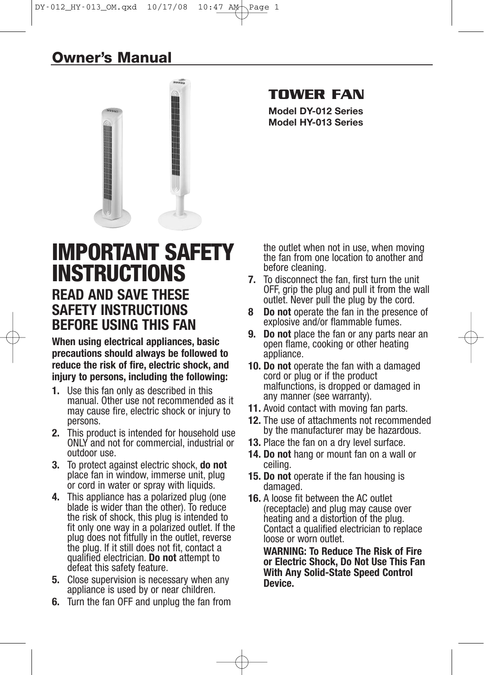## **Owner's Manual**



## **TOWER FAN**

**Model DY-012 Series Model HY-013 Series**

# **IMPORTANT SAFETY INSTRUCTIONS READ AND SAVE THESE**

# **SAFETY INSTRUCTIONS BEFORE USING THIS FAN**

**When using electrical appliances, basic precautions should always be followed to reduce the risk of fire, electric shock, and injury to persons, including the following:**

- **1.** Use this fan only as described in this manual. Other use not recommended as it may cause fire, electric shock or injury to persons.
- **2.** This product is intended for household use ONLY and not for commercial, industrial or outdoor use.
- **3.** To protect against electric shock, **do not** place fan in window, immerse unit, plug or cord in water or spray with liquids.
- **4.** This appliance has a polarized plug (one blade is wider than the other). To reduce the risk of shock, this plug is intended to fit only one way in a polarized outlet. If the plug does not fitfully in the outlet, reverse the plug. If it still does not fit, contact a qualified electrician. **Do not** attempt to defeat this safety feature.
- **5.** Close supervision is necessary when any appliance is used by or near children.
- **6.** Turn the fan OFF and unplug the fan from

the outlet when not in use, when moving the fan from one location to another and before cleaning.

- **7.** To disconnect the fan, first turn the unit OFF, grip the plug and pull it from the wall outlet. Never pull the plug by the cord.
- **8 Do not** operate the fan in the presence of explosive and/or flammable fumes.
- **9. Do not** place the fan or any parts near an open flame, cooking or other heating appliance.
- **10. Do not** operate the fan with a damaged cord or plug or if the product malfunctions, is dropped or damaged in any manner (see warranty).
- **11.** Avoid contact with moving fan parts.
- **12.** The use of attachments not recommended by the manufacturer may be hazardous.
- **13.** Place the fan on a dry level surface.
- **14. Do not** hang or mount fan on a wall or ceiling.
- **15. Do not** operate if the fan housing is damaged.
- **16.** A loose fit between the AC outlet (receptacle) and plug may cause over heating and a distortion of the plug. Contact a qualified electrician to replace loose or worn outlet.

**WARNING: To Reduce The Risk of Fire or Electric Shock, Do Not Use This Fan With Any Solid-State Speed Control Device.**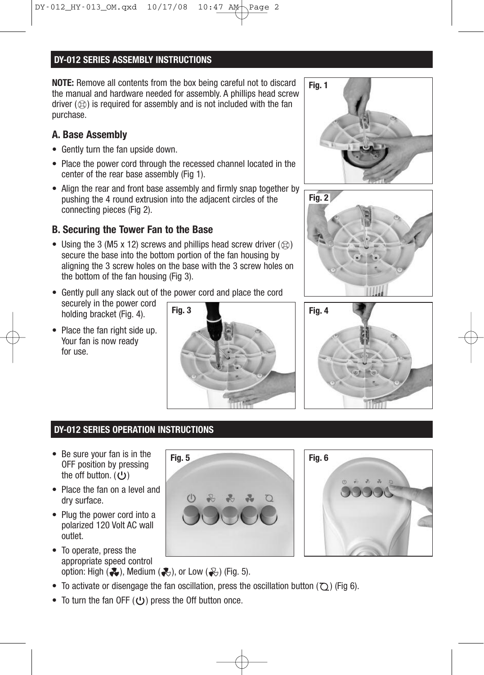## **DY-012 SERIES ASSEMBLY INSTRUCTIONS**

**NOTE:** Remove all contents from the box being careful not to discard the manual and hardware needed for assembly. A phillips head screw driver  $(\mathcal{R})$  is required for assembly and is not included with the fan purchase.

## **A. Base Assembly**

- Gently turn the fan upside down.
- Place the power cord through the recessed channel located in the center of the rear base assembly (Fig 1).
- Align the rear and front base assembly and firmly snap together by pushing the 4 round extrusion into the adjacent circles of the connecting pieces (Fig 2).

## **B. Securing the Tower Fan to the Base**

- Using the 3 (M5 x 12) screws and phillips head screw driver  $(\otimes)$ secure the base into the bottom portion of the fan housing by aligning the 3 screw holes on the base with the 3 screw holes on the bottom of the fan housing (Fig 3).
- Gently pull any slack out of the power cord and place the cord securely in the power cord holding bracket (Fig. 4). **Fig. 3 Fig. 4**
- Place the fan right side up. Your fan is now ready for use.









## **DY-012 SERIES OPERATION INSTRUCTIONS**

- Be sure your fan is in the OFF position by pressing the off button.  $(U)$
- Place the fan on a level and dry surface.
- Plug the power cord into a polarized 120 Volt AC wall outlet.
- To operate, press the appropriate speed control option: High  $( \clubsuit )$ , Medium  $( \clubsuit )$ , or Low  $( \clubsuit )$  (Fig. 5).
- To activate or disengage the fan oscillation, press the oscillation button  $(2)$  (Fig 6).
- To turn the fan OFF  $(U)$  press the Off button once.



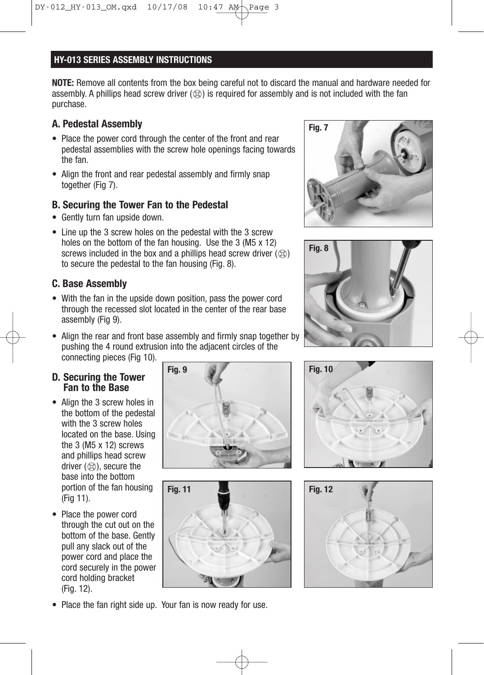## **HY-013 SERIES ASSEMBLY INSTRUCTIONS**

**NOTE:** Remove all contents from the box being careful not to discard the manual and hardware needed for assembly. A phillips head screw driver  $(\otimes)$  is required for assembly and is not included with the fan purchase.

## **A. Pedestal Assembly**

- Place the power cord through the center of the front and rear pedestal assemblies with the screw hole openings facing towards the fan.
- Align the front and rear pedestal assembly and firmly snap together (Fig 7).

## **B. Securing the Tower Fan to the Pedestal**

- Gently turn fan upside down.
- Line up the 3 screw holes on the pedestal with the 3 screw holes on the bottom of the fan housing. Use the 3 (M5 x 12) screws included in the box and a phillips head screw driver  $(\mathcal{R})$ to secure the pedestal to the fan housing (Fig. 8).

## **C. Base Assembly**

- With the fan in the upside down position, pass the power cord through the recessed slot located in the center of the rear base assembly (Fig 9).
- Align the rear and front base assembly and firmly snap together by pushing the 4 round extrusion into the adjacent circles of the connecting pieces (Fig 10).

## **D. Securing the Tower Fan to the Base**

- Align the 3 screw holes in the bottom of the pedestal with the 3 screw holes located on the base. Using the 3 (M5 x 12) screws and phillips head screw driver  $(\otimes)$ , secure the base into the bottom portion of the fan housing (Fig 11).
- Place the power cord through the cut out on the bottom of the base. Gently pull any slack out of the power cord and place the cord securely in the power cord holding bracket (Fig. 12).













• Place the fan right side up. Your fan is now ready for use.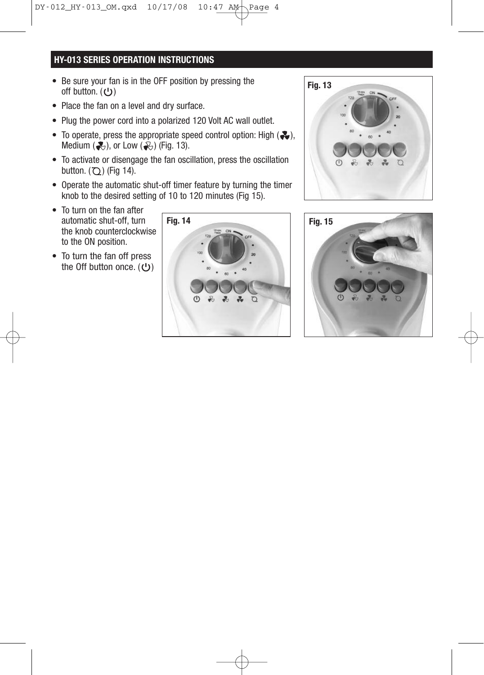## **HY-013 SERIES OPERATION INSTRUCTIONS**

- Be sure your fan is in the OFF position by pressing the off button.  $(U)$
- Place the fan on a level and dry surface.
- Plug the power cord into a polarized 120 Volt AC wall outlet.
- To operate, press the appropriate speed control option: High  $(2, )$ , Medium  $\left(\frac{1}{\sqrt{2}}\right)$ , or Low  $\left(\frac{1}{\sqrt{2}}\right)$  (Fig. 13).
- To activate or disengage the fan oscillation, press the oscillation button.  $(7)$ ) (Fig 14).
- Operate the automatic shut-off timer feature by turning the timer knob to the desired setting of 10 to 120 minutes (Fig 15).
- To turn on the fan after automatic shut-off, turn the knob counterclockwise to the ON position.
- To turn the fan off press the Off button once.  $(\cup)$





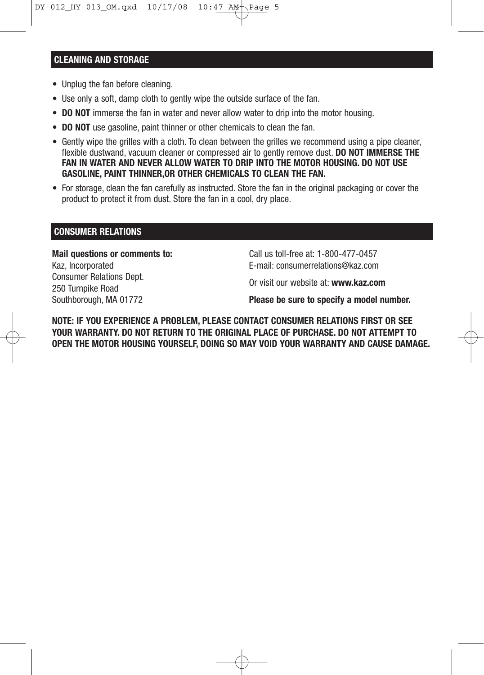#### **CLEANING AND STORAGE**

- Unplug the fan before cleaning.
- Use only a soft, damp cloth to gently wipe the outside surface of the fan.
- **DO NOT** immerse the fan in water and never allow water to drip into the motor housing.
- **DO NOT** use gasoline, paint thinner or other chemicals to clean the fan.
- Gently wipe the grilles with a cloth. To clean between the grilles we recommend using a pipe cleaner, flexible dustwand, vacuum cleaner or compressed air to gently remove dust. **DO NOT IMMERSE THE FAN IN WATER AND NEVER ALLOW WATER TO DRIP INTO THE MOTOR HOUSING. DO NOT USE GASOLINE, PAINT THINNER,OR OTHER CHEMICALS TO CLEAN THE FAN.**
- For storage, clean the fan carefully as instructed. Store the fan in the original packaging or cover the product to protect it from dust. Store the fan in a cool, dry place.

#### **CONSUMER RELATIONS**

**Mail questions or comments to:** Kaz, Incorporated Consumer Relations Dept. 250 Turnpike Road Southborough, MA 01772

Call us toll-free at: 1-800-477-0457 E-mail: consumerrelations@kaz.com

Or visit our website at: **www.kaz.com**

**Please be sure to specify a model number.**

**NOTE: IF YOU EXPERIENCE A PROBLEM, PLEASE CONTACT CONSUMER RELATIONS FIRST OR SEE YOUR WARRANTY. DO NOT RETURN TO THE ORIGINAL PLACE OF PURCHASE. DO NOT ATTEMPT TO OPEN THE MOTOR HOUSING YOURSELF, DOING SO MAY VOID YOUR WARRANTY AND CAUSE DAMAGE.**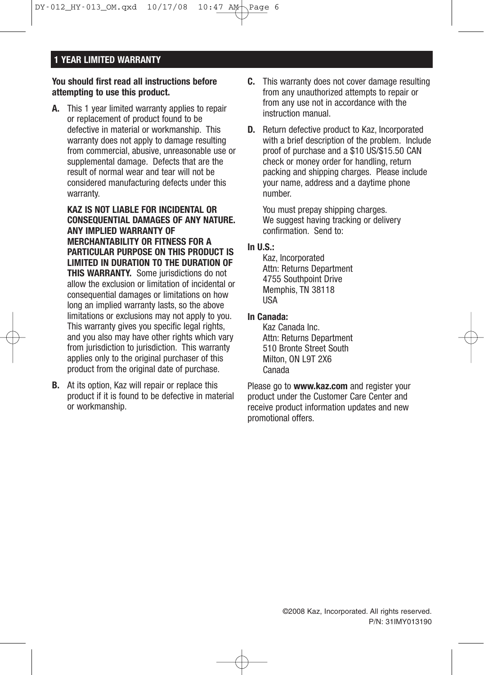### **1 YEAR LIMITED WARRANTY**

#### **You should first read all instructions before attempting to use this product.**

**A.** This 1 year limited warranty applies to repair or replacement of product found to be defective in material or workmanship. This warranty does not apply to damage resulting from commercial, abusive, unreasonable use or supplemental damage. Defects that are the result of normal wear and tear will not be considered manufacturing defects under this warranty.

**KAZ IS NOT LIABLE FOR INCIDENTAL OR CONSEQUENTIAL DAMAGES OF ANY NATURE. ANY IMPLIED WARRANTY OF MERCHANTABILITY OR FITNESS FOR A PARTICULAR PURPOSE ON THIS PRODUCT IS LIMITED IN DURATION TO THE DURATION OF THIS WARRANTY.** Some jurisdictions do not allow the exclusion or limitation of incidental or consequential damages or limitations on how long an implied warranty lasts, so the above limitations or exclusions may not apply to you. This warranty gives you specific legal rights, and you also may have other rights which vary from jurisdiction to jurisdiction. This warranty applies only to the original purchaser of this product from the original date of purchase.

**B.** At its option, Kaz will repair or replace this product if it is found to be defective in material or workmanship.

- **C.** This warranty does not cover damage resulting from any unauthorized attempts to repair or from any use not in accordance with the instruction manual.
- **D.** Return defective product to Kaz, Incorporated with a brief description of the problem. Include proof of purchase and a \$10 US/\$15.50 CAN check or money order for handling, return packing and shipping charges. Please include your name, address and a daytime phone number.

You must prepay shipping charges. We suggest having tracking or delivery confirmation. Send to:

#### **In U.S.:**

Kaz, Incorporated Attn: Returns Department 4755 Southpoint Drive Memphis, TN 38118 USA

#### **In Canada:**

Kaz Canada Inc. Attn: Returns Department 510 Bronte Street South Milton, ON L9T 2X6 Canada

Please go to **www.kaz.com** and register your product under the Customer Care Center and receive product information updates and new promotional offers.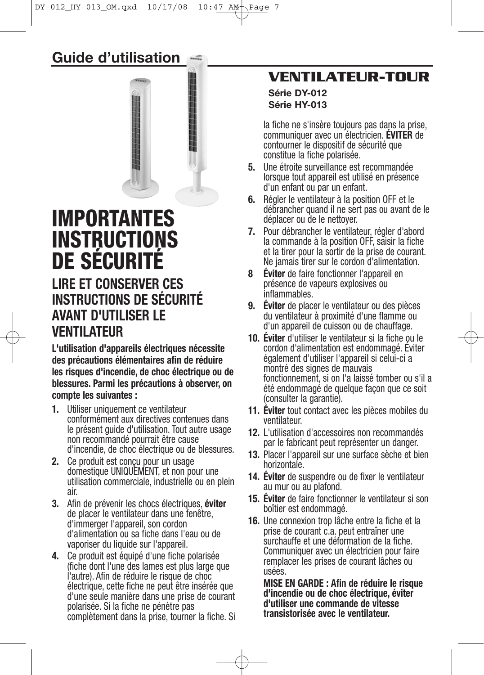**Guide d'utilisation**



# **IMPORTANTES INSTRUCTIONS DE SÉCURITÉ LIRE ET CONSERVER CES INSTRUCTIONS DE SÉCURITÉ AVANT D'UTILISER LE VENTILATEUR**

**L'utilisation d'appareils électriques nécessite des précautions élémentaires afin de réduire les risques d'incendie, de choc électrique ou de blessures. Parmi les précautions à observer, on compte les suivantes :**

- **1.** Utiliser uniquement ce ventilateur conformément aux directives contenues dans le présent guide d'utilisation. Tout autre usage non recommandé pourrait être cause d'incendie, de choc électrique ou de blessures.
- **2.** Ce produit est conçu pour un usage domestique UNIQUEMENT, et non pour une utilisation commerciale, industrielle ou en plein air.
- **3.** Afin de prévenir les chocs électriques, **éviter** de placer le ventilateur dans une fenêtre, d'immerger l'appareil, son cordon d'alimentation ou sa fiche dans l'eau ou de vaporiser du liquide sur l'appareil.
- **4.** Ce produit est équipé d'une fiche polarisée (fiche dont l'une des lames est plus large que l'autre). Afin de réduire le risque de choc électrique, cette fiche ne peut être insérée que d'une seule manière dans une prise de courant polarisée. Si la fiche ne pénètre pas complètement dans la prise, tourner la fiche. Si

## **VENTILATEUR-TOUR**

#### **Série DY-012 Série HY-013**

la fiche ne s'insère toujours pas dans la prise, communiquer avec un électricien. **ÉVITER** de contourner le dispositif de sécurité que constitue la fiche polarisée.

- **5.** Une étroite surveillance est recommandée lorsque tout appareil est utilisé en présence d'un enfant ou par un enfant.
- **6.** Régler le ventilateur à la position OFF et le débrancher quand il ne sert pas ou avant de le déplacer ou de le nettoyer.
- **7.** Pour débrancher le ventilateur, régler d'abord la commande à la position OFF, saisir la fiche et la tirer pour la sortir de la prise de courant. Ne jamais tirer sur le cordon d'alimentation.
- **8 Éviter** de faire fonctionner l'appareil en présence de vapeurs explosives ou inflammables.
- **9. Éviter** de placer le ventilateur ou des pièces du ventilateur à proximité d'une flamme ou d'un appareil de cuisson ou de chauffage.
- **10. Éviter** d'utiliser le ventilateur si la fiche ou le cordon d'alimentation est endommagé. Éviter également d'utiliser l'appareil si celui-ci a montré des signes de mauvais fonctionnement, si on l'a laissé tomber ou s'il a été endommagé de quelque façon que ce soit (consulter la garantie).
- **11. Éviter** tout contact avec les pièces mobiles du ventilateur.
- **12.** L'utilisation d'accessoires non recommandés par le fabricant peut représenter un danger.
- **13.** Placer l'appareil sur une surface sèche et bien horizontale.
- **14. Éviter** de suspendre ou de fixer le ventilateur au mur ou au plafond.
- **15. Éviter** de faire fonctionner le ventilateur si son boîtier est endommagé.
- **16.** Une connexion trop lâche entre la fiche et la prise de courant c.a. peut entraîner une surchauffe et une déformation de la fiche. Communiquer avec un électricien pour faire remplacer les prises de courant lâches ou usées.

**MISE EN GARDE : Afin de réduire le risque d'incendie ou de choc électrique, éviter d'utiliser une commande de vitesse transistorisée avec le ventilateur.**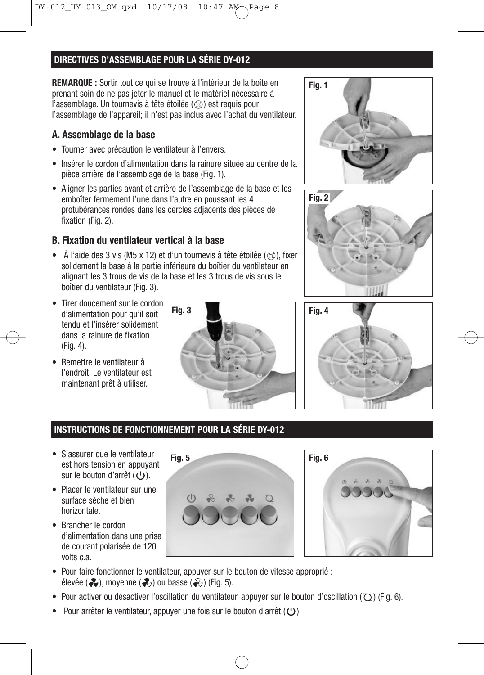## **DIRECTIVES D'ASSEMBLAGE POUR LA SÉRIE DY-012**

**REMARQUE :** Sortir tout ce qui se trouve à l'intérieur de la boîte en prenant soin de ne pas jeter le manuel et le matériel nécessaire à l'assemblage. Un tournevis à tête étoilée  $(\otimes)$  est requis pour l'assemblage de l'appareil; il n'est pas inclus avec l'achat du ventilateur.

## **A. Assemblage de la base**

- Tourner avec précaution le ventilateur à l'envers.
- Insérer le cordon d'alimentation dans la rainure située au centre de la pièce arrière de l'assemblage de la base (Fig. 1).
- Aligner les parties avant et arrière de l'assemblage de la base et les emboîter fermement l'une dans l'autre en poussant les 4 protubérances rondes dans les cercles adjacents des pièces de fixation (Fig. 2).

## **B. Fixation du ventilateur vertical à la base**

- À l'aide des 3 vis (M5 x 12) et d'un tournevis à tête étoilée ( $\otimes$ ), fixer solidement la base à la partie inférieure du boîtier du ventilateur en alignant les 3 trous de vis de la base et les 3 trous de vis sous le boîtier du ventilateur (Fig. 3).
- Tirer doucement sur le cordon d'alimentation pour qu'il soit tendu et l'insérer solidement dans la rainure de fixation (Fig. 4).
- Remettre le ventilateur à l'endroit. Le ventilateur est maintenant prêt à utiliser.









## **INSTRUCTIONS DE FONCTIONNEMENT POUR LA SÉRIE DY-012**

- S'assurer que le ventilateur est hors tension en appuyant sur le bouton d'arrêt  $(U)$ .
- Placer le ventilateur sur une surface sèche et bien horizontale.
- Brancher le cordon d'alimentation dans une prise de courant polarisée de 120 volts c.a.





- Pour faire fonctionner le ventilateur, appuyer sur le bouton de vitesse approprié : élevée ( $\clubsuit$ ), moyenne ( $\clubsuit$ ) ou basse ( $\clubsuit$ ) (Fig. 5).
- Pour activer ou désactiver l'oscillation du ventilateur, appuyer sur le bouton d'oscillation  $(Q)$  (Fig. 6).
- Four arrêter le ventilateur, appuyer une fois sur le bouton d'arrêt ( $\bigcup$ ).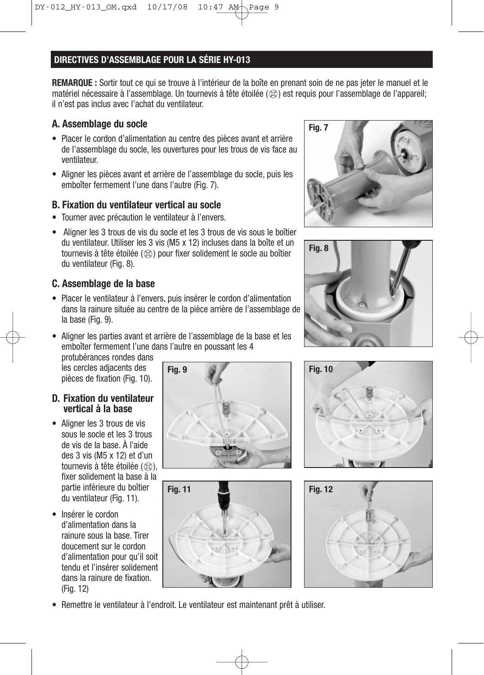## **DIRECTIVES D'ASSEMBLAGE POUR LA SÉRIE HY-013**

**REMARQUE :** Sortir tout ce qui se trouve à l'intérieur de la boîte en prenant soin de ne pas jeter le manuel et le matériel nécessaire à l'assemblage. Un tournevis à tête étoilée ( $\otimes$ ) est requis pour l'assemblage de l'appareil; il n'est pas inclus avec l'achat du ventilateur.

## **A. Assemblage du socle**

- Placer le cordon d'alimentation au centre des pièces avant et arrière de l'assemblage du socle, les ouvertures pour les trous de vis face au ventilateur.
- Aligner les pièces avant et arrière de l'assemblage du socle, puis les emboîter fermement l'une dans l'autre (Fig. 7).

## **B. Fixation du ventilateur vertical au socle**

- Tourner avec précaution le ventilateur à l'envers.
- Aligner les 3 trous de vis du socle et les 3 trous de vis sous le boîtier du ventilateur. Utiliser les 3 vis (M5 x 12) incluses dans la boîte et un tournevis à tête étoilée  $(\otimes)$  pour fixer solidement le socle au boîtier du ventilateur (Fig. 8).

## **C. Assemblage de la base**

- Placer le ventilateur à l'envers, puis insérer le cordon d'alimentation dans la rainure située au centre de la pièce arrière de l'assemblage de la base (Fig. 9).
- Aligner les parties avant et arrière de l'assemblage de la base et les emboîter fermement l'une dans l'autre en poussant les 4

protubérances rondes dans les cercles adjacents des pièces de fixation (Fig. 10).

#### **D. Fixation du ventilateur vertical à la base**

- Aligner les 3 trous de vis sous le socle et les 3 trous de vis de la base. À l'aide des 3 vis (M5 x 12) et d'un tournevis à tête étoilée  $(\otimes)$ . fixer solidement la base à la partie inférieure du boîtier du ventilateur (Fig. 11).
- Insérer le cordon d'alimentation dans la rainure sous la base. Tirer doucement sur le cordon d'alimentation pour qu'il soit tendu et l'insérer solidement dans la rainure de fixation. (Fig. 12)













• Remettre le ventilateur à l'endroit. Le ventilateur est maintenant prêt à utiliser.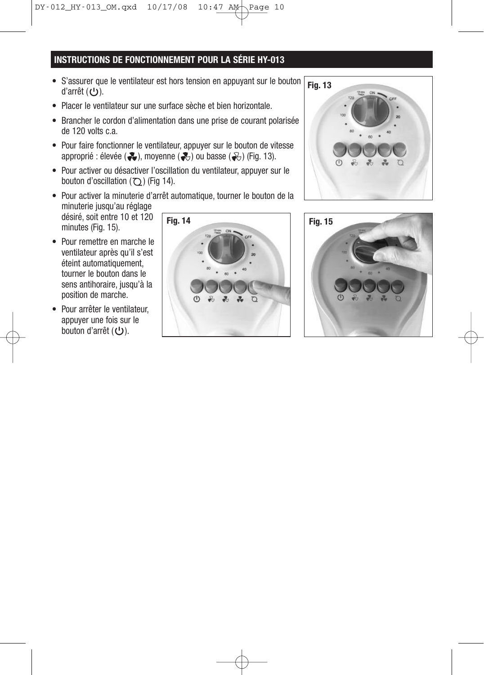## **INSTRUCTIONS DE FONCTIONNEMENT POUR LA SÉRIE HY-013**

- S'assurer que le ventilateur est hors tension en appuyant sur le bouton d'arrêt  $(U)$ .
- Placer le ventilateur sur une surface sèche et bien horizontale.
- Brancher le cordon d'alimentation dans une prise de courant polarisée de 120 volts c.a.
- Pour faire fonctionner le ventilateur, appuyer sur le bouton de vitesse approprié : élevée ( $\clubsuit$ ), moyenne ( $\clubsuit$ ) ou basse ( $\clubsuit$ ) (Fig. 13).
- Pour activer ou désactiver l'oscillation du ventilateur, appuyer sur le bouton d'oscillation  $(Q)$  (Fig 14).
- Pour activer la minuterie d'arrêt automatique, tourner le bouton de la minuterie jusqu'au réglage désiré, soit entre 10 et 120 minutes (Fig. 15). **Fig. 14 Fig. 15**
- Pour remettre en marche le ventilateur après qu'il s'est éteint automatiquement, tourner le bouton dans le sens antihoraire, jusqu'à la position de marche.
- Pour arrêter le ventilateur, appuyer une fois sur le bouton d'arrêt (U).





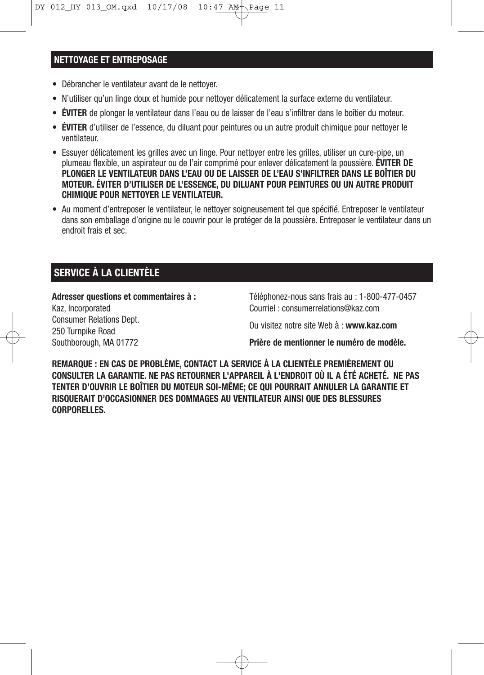#### **NETTOYAGE ET ENTREPOSAGE**

- Débrancher le ventilateur avant de le nettoyer.
- N'utiliser qu'un linge doux et humide pour nettoyer délicatement la surface externe du ventilateur.
- **ÉVITER** de plonger le ventilateur dans l'eau ou de laisser de l'eau s'infiltrer dans le boîtier du moteur.
- **ÉVITER** d'utiliser de l'essence, du diluant pour peintures ou un autre produit chimique pour nettoyer le ventilateur.
- Essuyer délicatement les grilles avec un linge. Pour nettoyer entre les grilles, utiliser un cure-pipe, un plumeau flexible, un aspirateur ou de l'air comprimé pour enlever délicatement la poussière. **ÉVITER DE PLONGER LE VENTILATEUR DANS L'EAU OU DE LAISSER DE L'EAU S'INFILTRER DANS LE BOÎTIER DU MOTEUR. ÉVITER D'UTILISER DE L'ESSENCE, DU DILUANT POUR PEINTURES OU UN AUTRE PRODUIT CHIMIQUE POUR NETTOYER LE VENTILATEUR.**
- Au moment d'entreposer le ventilateur, le nettoyer soigneusement tel que spécifié. Entreposer le ventilateur dans son emballage d'origine ou le couvrir pour le protéger de la poussière. Entreposer le ventilateur dans un endroit frais et sec.

## **SERVICE À LA CLIENTÈLE**

**Adresser questions et commentaires à :** Kaz, Incorporated Consumer Relations Dept. 250 Turnpike Road Southborough, MA 01772

Téléphonez-nous sans frais au : 1-800-477-0457 Courriel : consumerrelations@kaz.com

Ou visitez notre site Web à : **www.kaz.com**

**Prière de mentionner le numéro de modèle.**

**REMARQUE : EN CAS DE PROBLÈME, CONTACT LA SERVICE À LA CLIENTÈLE PREMIÈREMENT OU CONSULTER LA GARANTIE. NE PAS RETOURNER L'APPAREIL À L'ENDROIT OÙ IL A ÉTÉ ACHETÉ. NE PAS TENTER D'OUVRIR LE BOÎTIER DU MOTEUR SOI-MÊME; CE QUI POURRAIT ANNULER LA GARANTIE ET RISQUERAIT D'OCCASIONNER DES DOMMAGES AU VENTILATEUR AINSI QUE DES BLESSURES CORPORELLES.**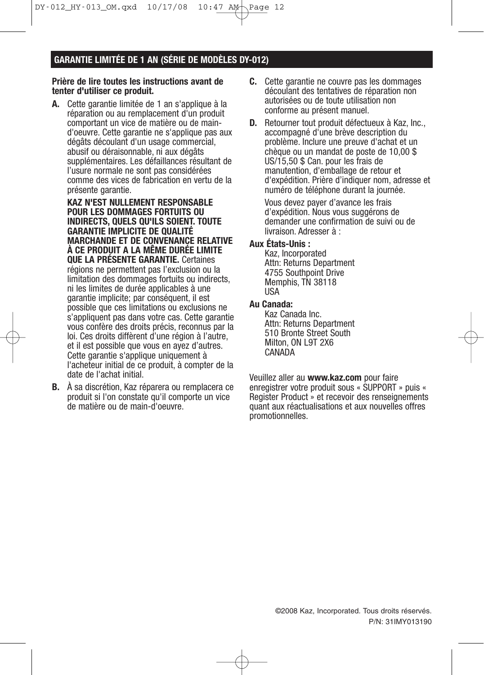$DY-012_MY-013_Mqxd 10/17/08 10:47 AM\$ 

## **GARANTIE LIMITÉE DE 1 AN (SÉRIE DE MODÈLES DY-012)**

#### **Prière de lire toutes les instructions avant de tenter d'utiliser ce produit.**

**A.** Cette garantie limitée de 1 an s'applique à la réparation ou au remplacement d'un produit comportant un vice de matière ou de maind'oeuvre. Cette garantie ne s'applique pas aux dégâts découlant d'un usage commercial, abusif ou déraisonnable, ni aux dégâts supplémentaires. Les défaillances résultant de l'usure normale ne sont pas considérées comme des vices de fabrication en vertu de la présente garantie.

**KAZ N'EST NULLEMENT RESPONSABLE POUR LES DOMMAGES FORTUITS OU INDIRECTS, QUELS QU'ILS SOIENT. TOUTE GARANTIE IMPLICITE DE QUALITÉ MARCHANDE ET DE CONVENANCE RELATIVE À CE PRODUIT A LA MÊME DURÉE LIMITE QUE LA PRÉSENTE GARANTIE.** Certaines régions ne permettent pas l'exclusion ou la limitation des dommages fortuits ou indirects, ni les limites de durée applicables à une garantie implicite; par conséquent, il est possible que ces limitations ou exclusions ne s'appliquent pas dans votre cas. Cette garantie vous confère des droits précis, reconnus par la loi. Ces droits diffèrent d'une région à l'autre, et il est possible que vous en ayez d'autres. Cette garantie s'applique uniquement à l'acheteur initial de ce produit, à compter de la date de l'achat initial.

**B.** À sa discrétion, Kaz réparera ou remplacera ce produit si l'on constate qu'il comporte un vice de matière ou de main-d'oeuvre.

- **C.** Cette garantie ne couvre pas les dommages découlant des tentatives de réparation non autorisées ou de toute utilisation non conforme au présent manuel.
- **D.** Retourner tout produit défectueux à Kaz, Inc., accompagné d'une brève description du problème. Inclure une preuve d'achat et un chèque ou un mandat de poste de 10,00 \$ US/15,50 \$ Can. pour les frais de manutention, d'emballage de retour et d'expédition. Prière d'indiquer nom, adresse et numéro de téléphone durant la journée.

Vous devez payer d'avance les frais d'expédition. Nous vous suggérons de demander une confirmation de suivi ou de livraison. Adresser à :

#### **Aux États-Unis :**

Kaz, Incorporated Attn: Returns Department 4755 Southpoint Drive Memphis, TN 38118 USA

#### **Au Canada:**

Kaz Canada Inc. Attn: Returns Department 510 Bronte Street South Milton, ON L9T 2X6 CANADA

Veuillez aller au **www.kaz.com** pour faire enregistrer votre produit sous « SUPPORT » puis « Register Product » et recevoir des renseignements quant aux réactualisations et aux nouvelles offres promotionnelles.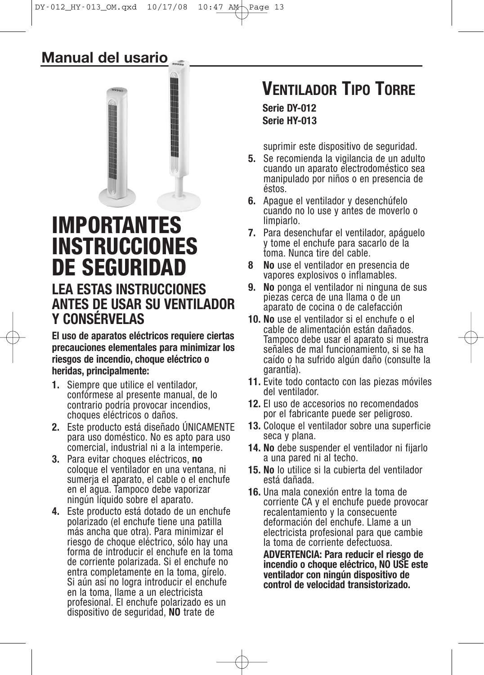## **Manual del usario**



# **IMPORTANTES INSTRUCCIONES DE SEGURIDAD LEA ESTAS INSTRUCCIONES ANTES DE USAR SU VENTILADOR Y CONSÉRVELAS**

**El uso de aparatos eléctricos requiere ciertas precauciones elementales para minimizar los riesgos de incendio, choque eléctrico o heridas, principalmente:**

- **1.** Siempre que utilice el ventilador, confórmese al presente manual, de lo contrario podría provocar incendios, choques eléctricos o daños.
- **2.** Este producto está diseñado ÚNICAMENTE para uso doméstico. No es apto para uso comercial, industrial ni a la intemperie.
- **3.** Para evitar choques eléctricos, **no** coloque el ventilador en una ventana, ni sumerja el aparato, el cable o el enchufe en el agua. Tampoco debe vaporizar ningún líquido sobre el aparato.
- **4.** Este producto está dotado de un enchufe polarizado (el enchufe tiene una patilla más ancha que otra). Para minimizar el riesgo de choque eléctrico, sólo hay una forma de introducir el enchufe en la toma de corriente polarizada. Si el enchufe no entra completamente en la toma, gírelo. Si aún así no logra introducir el enchufe en la toma, llame a un electricista profesional. El enchufe polarizado es un dispositivo de seguridad, **NO** trate de

# **VENTILADOR TIPO TORRE Serie DY-012**

**Serie HY-013**

suprimir este dispositivo de seguridad.

- **5.** Se recomienda la vigilancia de un adulto cuando un aparato electrodoméstico sea manipulado por niños o en presencia de éstos.
- **6.** Apague el ventilador y desenchúfelo cuando no lo use y antes de moverlo o limpiarlo.
- **7.** Para desenchufar el ventilador, apáguelo y tome el enchufe para sacarlo de la toma. Nunca tire del cable.
- **8 No** use el ventilador en presencia de vapores explosivos o inflamables.
- **9. No** ponga el ventilador ni ninguna de sus piezas cerca de una llama o de un aparato de cocina o de calefacción
- **10. No** use el ventilador si el enchufe o el cable de alimentación están dañados. Tampoco debe usar el aparato si muestra señales de mal funcionamiento, si se ha caído o ha sufrido algún daño (consulte la garantía).
- **11.** Evite todo contacto con las piezas móviles del ventilador.
- **12.** El uso de accesorios no recomendados por el fabricante puede ser peligroso.
- **13.** Coloque el ventilador sobre una superficie seca y plana.
- **14. No** debe suspender el ventilador ni fijarlo a una pared ni al techo.
- **15. No** lo utilice si la cubierta del ventilador está dañada.
- **16.** Una mala conexión entre la toma de corriente CA y el enchufe puede provocar recalentamiento y la consecuente deformación del enchufe. Llame a un electricista profesional para que cambie la toma de corriente defectuosa.

**ADVERTENCIA: Para reducir el riesgo de incendio o choque eléctrico, NO USE este ventilador con ningún dispositivo de control de velocidad transistorizado.**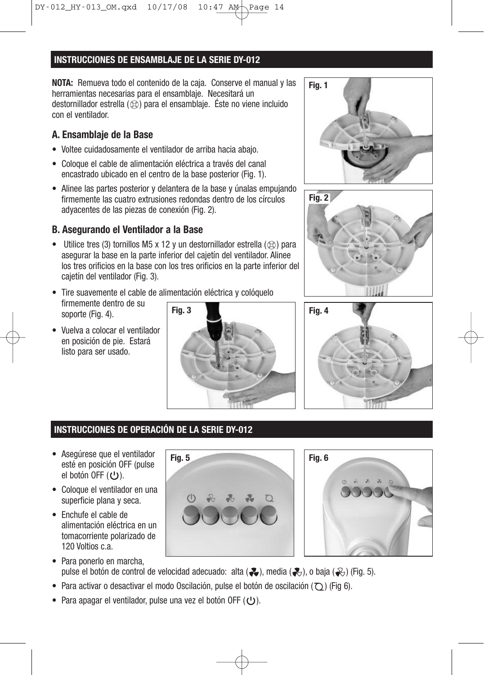## **INSTRUCCIONES DE ENSAMBLAJE DE LA SERIE DY-012**

**NOTA:** Remueva todo el contenido de la caja. Conserve el manual y las herramientas necesarias para el ensamblaje. Necesitará un destornillador estrella  $(\otimes)$  para el ensamblaje. Éste no viene incluido con el ventilador.

## **A. Ensamblaje de la Base**

- Voltee cuidadosamente el ventilador de arriba hacia abajo.
- Coloque el cable de alimentación eléctrica a través del canal encastrado ubicado en el centro de la base posterior (Fig. 1).
- Alinee las partes posterior y delantera de la base y únalas empujando firmemente las cuatro extrusiones redondas dentro de los círculos adyacentes de las piezas de conexión (Fig. 2).

## **B. Asegurando el Ventilador a la Base**

- Utilice tres (3) tornillos M5 x 12 y un destornillador estrella ( $\otimes$ ) para asegurar la base en la parte inferior del cajetín del ventilador. Alinee los tres orificios en la base con los tres orificios en la parte inferior del cajetín del ventilador (Fig. 3).
- Tire suavemente el cable de alimentación eléctrica y colóquelo firmemente dentro de su soporte (Fig. 4).
- Vuelva a colocar el ventilador en posición de pie. Estará listo para ser usado.









## **INSTRUCCIONES DE OPERACIÓN DE LA SERIE DY-012**

- Asegúrese que el ventilador esté en posición OFF (pulse el botón OFF  $(U)$ .
- Coloque el ventilador en una superficie plana y seca.
- Enchufe el cable de alimentación eléctrica en un tomacorriente polarizado de 120 Voltios c.a.
- 



- Para ponerlo en marcha, pulse el botón de control de velocidad adecuado: alta ( $\clubsuit$ ), media ( $\clubsuit$ ), o baja ( $\clubsuit$ ) (Fig. 5).
- Para activar o desactivar el modo Oscilación, pulse el botón de oscilación ( $\bigcirc$ ) (Fig 6).
- Para apagar el ventilador, pulse una vez el botón OFF ( $\cup$ ).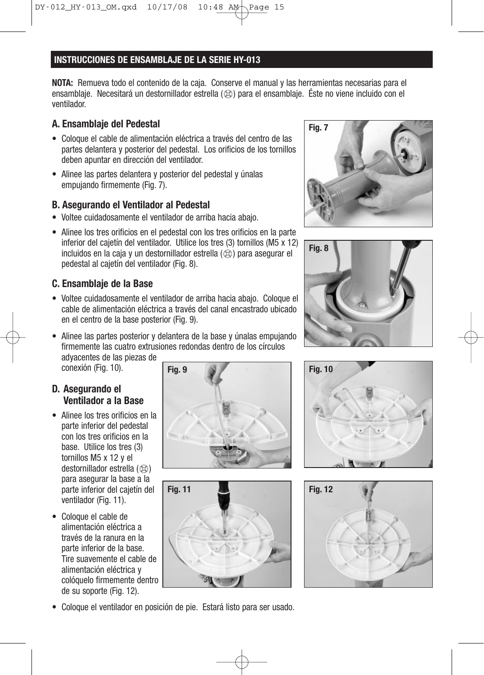#### **INSTRUCCIONES DE ENSAMBLAJE DE LA SERIE HY-013**

**NOTA:** Remueva todo el contenido de la caja. Conserve el manual y las herramientas necesarias para el ensamblaje. Necesitará un destornillador estrella ( $\otimes$ ) para el ensamblaje. Éste no viene incluido con el ventilador.

### **A. Ensamblaje del Pedestal**

- Coloque el cable de alimentación eléctrica a través del centro de las partes delantera y posterior del pedestal. Los orificios de los tornillos deben apuntar en dirección del ventilador.
- Alinee las partes delantera y posterior del pedestal y únalas empujando firmemente (Fig. 7).

## **B. Asegurando el Ventilador al Pedestal**

- Voltee cuidadosamente el ventilador de arriba hacia abajo.
- Alinee los tres orificios en el pedestal con los tres orificios en la parte inferior del cajetín del ventilador. Utilice los tres (3) tornillos (M5 x 12) incluidos en la caja y un destornillador estrella  $(\otimes)$  para asegurar el pedestal al cajetín del ventilador (Fig. 8).

## **C. Ensamblaje de la Base**

- Voltee cuidadosamente el ventilador de arriba hacia abajo. Coloque el cable de alimentación eléctrica a través del canal encastrado ubicado en el centro de la base posterior (Fig. 9).
- Alinee las partes posterior y delantera de la base y únalas empujando firmemente las cuatro extrusiones redondas dentro de los círculos adyacentes de las piezas de

conexión (Fig. 10).

## **D. Asegurando el Ventilador a la Base**

- Alinee los tres orificios en la parte inferior del pedestal con los tres orificios en la base. Utilice los tres (3) tornillos M5 x 12 y el destornillador estrella  $(\otimes)$ para asegurar la base a la parte inferior del cajetín del ventilador (Fig. 11).
- Coloque el cable de alimentación eléctrica a través de la ranura en la parte inferior de la base. Tire suavemente el cable de alimentación eléctrica y colóquelo firmemente dentro de su soporte (Fig. 12).













• Coloque el ventilador en posición de pie. Estará listo para ser usado.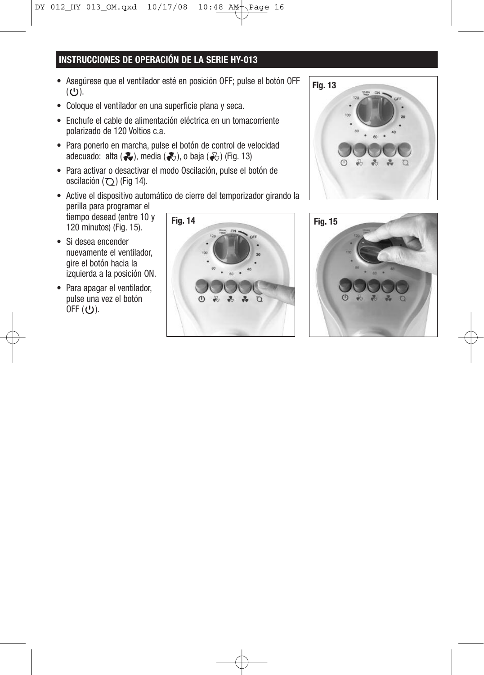## **INSTRUCCIONES DE OPERACIÓN DE LA SERIE HY-013**

- Asegúrese que el ventilador esté en posición OFF; pulse el botón OFF  $(U)$ .
- Coloque el ventilador en una superficie plana y seca.
- Enchufe el cable de alimentación eléctrica en un tomacorriente polarizado de 120 Voltios c.a.
- Para ponerlo en marcha, pulse el botón de control de velocidad adecuado: alta  $($ .), media  $($ .), o baja  $($ .) (Fig. 13)
- Para activar o desactivar el modo Oscilación, pulse el botón de oscilación  $(Q)$  (Fig 14).
- Active el dispositivo automático de cierre del temporizador girando la perilla para programar el tiempo desead (entre 10 y 120 minutos) (Fig. 15). **Fig. 14 Fig. 15**
- Si desea encender nuevamente el ventilador, gire el botón hacia la izquierda a la posición ON.
- Para apagar el ventilador, pulse una vez el botón OFF (ひ).





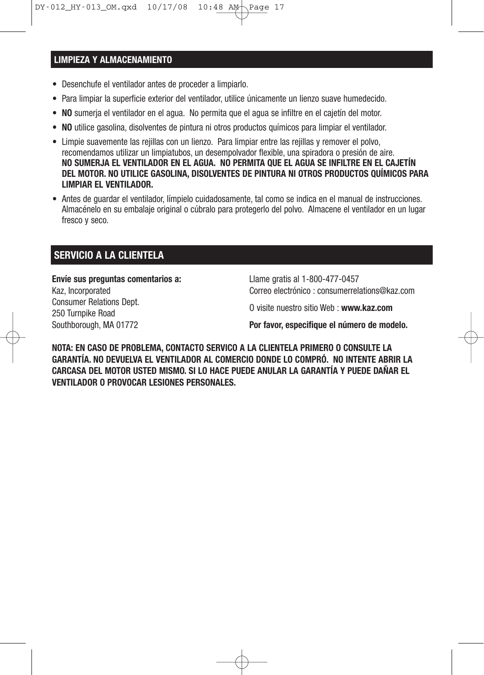#### **LIMPIEZA Y ALMACENAMIENTO**

- Desenchufe el ventilador antes de proceder a limpiarlo.
- Para limpiar la superficie exterior del ventilador, utilice únicamente un lienzo suave humedecido.
- **NO** sumerja el ventilador en el agua. No permita que el agua se infiltre en el cajetín del motor.
- **NO** utilice gasolina, disolventes de pintura ni otros productos químicos para limpiar el ventilador.
- Limpie suavemente las rejillas con un lienzo. Para limpiar entre las rejillas y remover el polvo, recomendamos utilizar un limpiatubos, un desempolvador flexible, una spiradora o presión de aire. **NO SUMERJA EL VENTILADOR EN EL AGUA. NO PERMITA QUE EL AGUA SE INFILTRE EN EL CAJETÍN DEL MOTOR. NO UTILICE GASOLINA, DISOLVENTES DE PINTURA NI OTROS PRODUCTOS QUÍMICOS PARA LIMPIAR EL VENTILADOR.**
- Antes de guardar el ventilador, límpielo cuidadosamente, tal como se indica en el manual de instrucciones. Almacénelo en su embalaje original o cúbralo para protegerlo del polvo. Almacene el ventilador en un lugar fresco y seco.

## **SERVICIO A LA CLIENTELA**

**Envíe sus preguntas comentarios a:** Kaz, Incorporated Consumer Relations Dept. 250 Turnpike Road

Southborough, MA 01772

Llame gratis al 1-800-477-0457 Correo electrónico : consumerrelations@kaz.com

O visite nuestro sitio Web : **www.kaz.com**

**Por favor, especifique el número de modelo.**

**NOTA: EN CASO DE PROBLEMA, CONTACTO SERVICO A LA CLIENTELA PRIMERO O CONSULTE LA GARANTÍA. NO DEVUELVA EL VENTILADOR AL COMERCIO DONDE LO COMPRÓ. NO INTENTE ABRIR LA CARCASA DEL MOTOR USTED MISMO. SI LO HACE PUEDE ANULAR LA GARANTÍA Y PUEDE DAÑAR EL VENTILADOR O PROVOCAR LESIONES PERSONALES.**